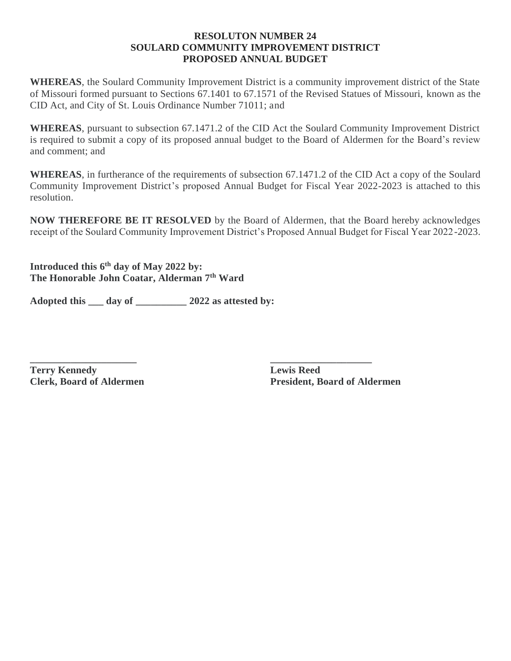#### **RESOLUTON NUMBER 24 SOULARD COMMUNITY IMPROVEMENT DISTRICT PROPOSED ANNUAL BUDGET**

**WHEREAS**, the Soulard Community Improvement District is a community improvement district of the State of Missouri formed pursuant to Sections 67.1401 to 67.1571 of the Revised Statues of Missouri, known as the CID Act, and City of St. Louis Ordinance Number 71011; and

**WHEREAS**, pursuant to subsection 67.1471.2 of the CID Act the Soulard Community Improvement District is required to submit a copy of its proposed annual budget to the Board of Aldermen for the Board's review and comment; and

**WHEREAS**, in furtherance of the requirements of subsection 67.1471.2 of the CID Act a copy of the Soulard Community Improvement District's proposed Annual Budget for Fiscal Year 2022-2023 is attached to this resolution.

**NOW THEREFORE BE IT RESOLVED** by the Board of Aldermen, that the Board hereby acknowledges receipt of the Soulard Community Improvement District's Proposed Annual Budget for Fiscal Year 2022-2023.

**Introduced this 6 th day of May 2022 by: The Honorable John Coatar, Alderman 7th Ward**

**Adopted this \_\_\_ day of \_\_\_\_\_\_\_\_\_\_ 2022 as attested by:**

**\_\_\_\_\_\_\_\_\_\_\_\_\_\_\_\_\_\_\_\_\_ \_\_\_\_\_\_\_\_\_\_\_\_\_\_\_\_\_\_\_\_ Terry Kennedy Lewis Reed**

**Clerk, Board of Aldermen President, Board of Aldermen**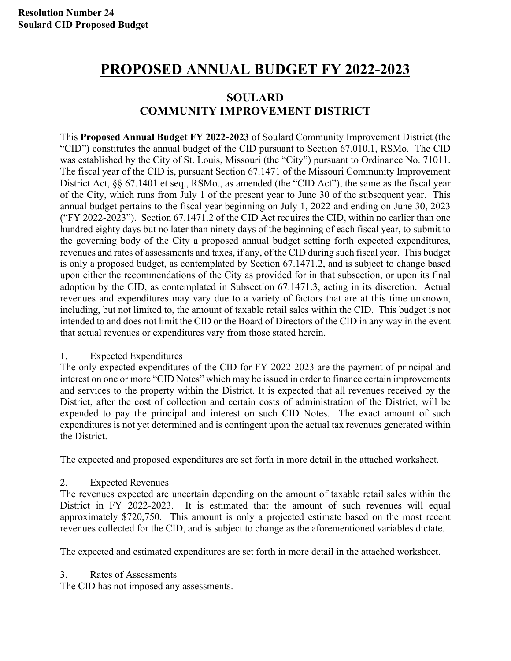# **PROPOSED ANNUAL BUDGET FY 2022-2023**

## **SOULARD COMMUNITY IMPROVEMENT DISTRICT**

This **Proposed Annual Budget FY 2022-2023** of Soulard Community Improvement District (the "CID") constitutes the annual budget of the CID pursuant to Section 67.010.1, RSMo. The CID was established by the City of St. Louis, Missouri (the "City") pursuant to Ordinance No. 71011. The fiscal year of the CID is, pursuant Section 67.1471 of the Missouri Community Improvement District Act, §§ 67.1401 et seq., RSMo., as amended (the "CID Act"), the same as the fiscal year of the City, which runs from July 1 of the present year to June 30 of the subsequent year. This annual budget pertains to the fiscal year beginning on July 1, 2022 and ending on June 30, 2023 ("FY 2022-2023"). Section 67.1471.2 of the CID Act requires the CID, within no earlier than one hundred eighty days but no later than ninety days of the beginning of each fiscal year, to submit to the governing body of the City a proposed annual budget setting forth expected expenditures, revenues and rates of assessments and taxes, if any, of the CID during such fiscal year. This budget is only a proposed budget, as contemplated by Section 67.1471.2, and is subject to change based upon either the recommendations of the City as provided for in that subsection, or upon its final adoption by the CID, as contemplated in Subsection 67.1471.3, acting in its discretion. Actual revenues and expenditures may vary due to a variety of factors that are at this time unknown, including, but not limited to, the amount of taxable retail sales within the CID. This budget is not intended to and does not limit the CID or the Board of Directors of the CID in any way in the event that actual revenues or expenditures vary from those stated herein.

#### 1. Expected Expenditures

The only expected expenditures of the CID for FY 2022-2023 are the payment of principal and interest on one or more "CID Notes" which may be issued in order to finance certain improvements and services to the property within the District. It is expected that all revenues received by the District, after the cost of collection and certain costs of administration of the District, will be expended to pay the principal and interest on such CID Notes. The exact amount of such expenditures is not yet determined and is contingent upon the actual tax revenues generated within the District.

The expected and proposed expenditures are set forth in more detail in the attached worksheet.

#### 2. Expected Revenues

The revenues expected are uncertain depending on the amount of taxable retail sales within the District in FY 2022-2023. It is estimated that the amount of such revenues will equal approximately \$720,750. This amount is only a projected estimate based on the most recent revenues collected for the CID, and is subject to change as the aforementioned variables dictate.

The expected and estimated expenditures are set forth in more detail in the attached worksheet.

3. Rates of Assessments

The CID has not imposed any assessments.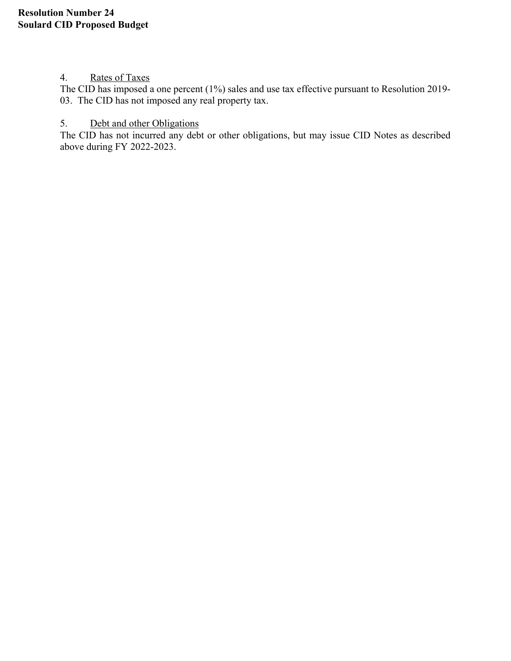#### 4. Rates of Taxes

The CID has imposed a one percent (1%) sales and use tax effective pursuant to Resolution 2019- 03. The CID has not imposed any real property tax.

#### 5. Debt and other Obligations

The CID has not incurred any debt or other obligations, but may issue CID Notes as described above during FY 2022-2023.